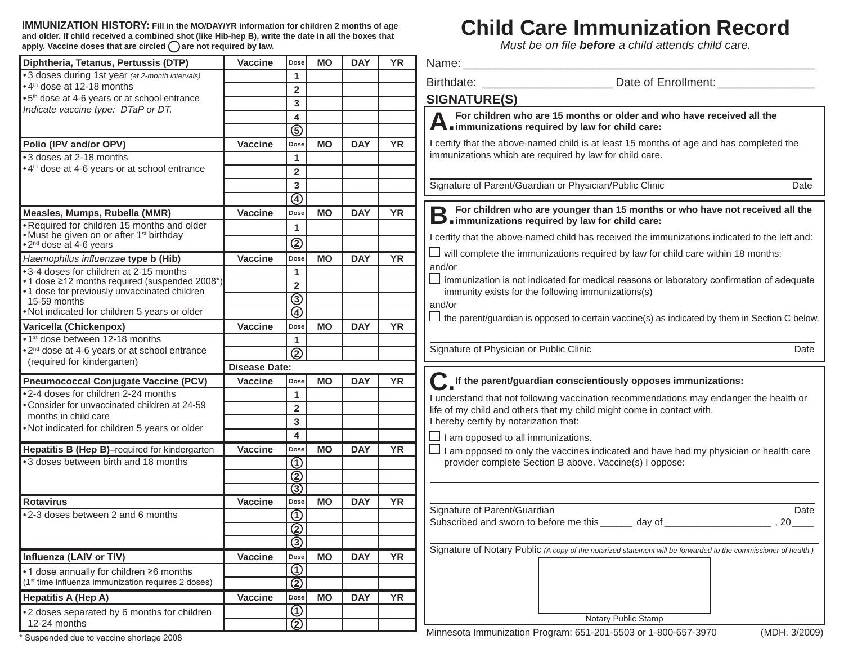**IMMUNIZATION HISTORY: Fill in the MO/DAY/YR information for children 2 months of age and older. If child received a combined shot (like Hib-hep B), write the date in all the boxes that apply. Vaccine doses that are circled are not required by law.**

## **Child Care Immunization Record**

*Must be on file before a child attends child care.*

| Diphtheria, Tetanus, Pertussis (DTP)                                                           | <b>Vaccine</b>       | Dose                                      | <b>MO</b> | <b>DAY</b> | <b>YR</b> | Name:                                                                                                                                                                                            |
|------------------------------------------------------------------------------------------------|----------------------|-------------------------------------------|-----------|------------|-----------|--------------------------------------------------------------------------------------------------------------------------------------------------------------------------------------------------|
| • 3 doses during 1st year (at 2-month intervals)                                               |                      | $\mathbf{1}$                              |           |            |           |                                                                                                                                                                                                  |
| •4 <sup>th</sup> dose at 12-18 months                                                          |                      | $\overline{2}$                            |           |            |           |                                                                                                                                                                                                  |
| •5 <sup>th</sup> dose at 4-6 years or at school entrance<br>Indicate vaccine type: DTaP or DT. |                      | 3                                         |           |            |           | <b>SIGNATURE(S)</b>                                                                                                                                                                              |
|                                                                                                |                      | 4                                         |           |            |           | For children who are 15 months or older and who have received all the                                                                                                                            |
|                                                                                                |                      | ত্তি                                      |           |            |           | $\blacktriangle$ immunizations required by law for child care:                                                                                                                                   |
| Polio (IPV and/or OPV)                                                                         | <b>Vaccine</b>       | Dose                                      | <b>MO</b> | <b>DAY</b> | <b>YR</b> | I certify that the above-named child is at least 15 months of age and has completed the                                                                                                          |
| •3 doses at 2-18 months                                                                        |                      | 1                                         |           |            |           | immunizations which are required by law for child care.                                                                                                                                          |
| • 4 <sup>th</sup> dose at 4-6 years or at school entrance                                      |                      | $\overline{2}$                            |           |            |           |                                                                                                                                                                                                  |
|                                                                                                |                      | $\overline{\mathbf{3}}$                   |           |            |           | Signature of Parent/Guardian or Physician/Public Clinic<br>Date                                                                                                                                  |
|                                                                                                |                      | $\overline{\circledast}$                  |           |            |           |                                                                                                                                                                                                  |
| Measles, Mumps, Rubella (MMR)                                                                  | <b>Vaccine</b>       | Dose                                      | <b>MO</b> | <b>DAY</b> | <b>YR</b> | For children who are younger than 15 months or who have not received all the<br><b>B</b> For children who are younger than to montring<br><b>B</b> immunizations required by law for child care: |
| . Required for children 15 months and older                                                    |                      | $\mathbf{1}$                              |           |            |           |                                                                                                                                                                                                  |
| • Must be given on or after 1 <sup>st</sup> birthday<br>• 2 <sup>nd</sup> dose at 4-6 years    |                      | $^{\circledR}$                            |           |            |           | I certify that the above-named child has received the immunizations indicated to the left and:                                                                                                   |
| Haemophilus influenzae type b (Hib)                                                            | Vaccine              | Dose                                      | <b>MO</b> | <b>DAY</b> | <b>YR</b> | $\Box$ will complete the immunizations required by law for child care within 18 months;                                                                                                          |
| •3-4 doses for children at 2-15 months                                                         |                      | $\mathbf{1}$                              |           |            |           | and/or                                                                                                                                                                                           |
| •1 dose ≥12 months required (suspended 2008*)                                                  |                      | $\overline{2}$                            |           |            |           | $\Box$ immunization is not indicated for medical reasons or laboratory confirmation of adequate                                                                                                  |
| .1 dose for previously unvaccinated children<br>15-59 months                                   |                      | $\overline{\circledcirc}$                 |           |            |           | immunity exists for the following immunizations(s)                                                                                                                                               |
| . Not indicated for children 5 years or older                                                  |                      | $\overline{\textcircled{\scriptsize{4}}}$ |           |            |           | and/or<br>$\Box$ the parent/guardian is opposed to certain vaccine(s) as indicated by them in Section C below.                                                                                   |
| Varicella (Chickenpox)                                                                         | <b>Vaccine</b>       | Dose                                      | <b>MO</b> | <b>DAY</b> | <b>YR</b> |                                                                                                                                                                                                  |
| • 1 <sup>st</sup> dose between 12-18 months                                                    |                      | $\mathbf{1}$                              |           |            |           |                                                                                                                                                                                                  |
| • 2 <sup>nd</sup> dose at 4-6 years or at school entrance                                      |                      | $\overline{\circledcirc}$                 |           |            |           | Signature of Physician or Public Clinic<br>Date                                                                                                                                                  |
| (required for kindergarten)                                                                    | <b>Disease Date:</b> |                                           |           |            |           |                                                                                                                                                                                                  |
| <b>Pneumococcal Conjugate Vaccine (PCV)</b>                                                    | <b>Vaccine</b>       | Dose                                      | <b>MO</b> | <b>DAY</b> | <b>YR</b> | Lif the parent/guardian conscientiously opposes immunizations:                                                                                                                                   |
| .2-4 doses for children 2-24 months                                                            |                      | $\mathbf{1}$                              |           |            |           | I understand that not following vaccination recommendations may endanger the health or                                                                                                           |
| . Consider for unvaccinated children at 24-59                                                  |                      | $\overline{2}$                            |           |            |           | life of my child and others that my child might come in contact with.                                                                                                                            |
| months in child care<br>. Not indicated for children 5 years or older                          |                      | 3                                         |           |            |           | I hereby certify by notarization that:                                                                                                                                                           |
|                                                                                                |                      | $\overline{\mathbf{4}}$                   |           |            |           | $\Box$ I am opposed to all immunizations.                                                                                                                                                        |
| Hepatitis B (Hep B)-required for kindergarten                                                  | <b>Vaccine</b>       | Dose                                      | <b>MO</b> | <b>DAY</b> | <b>YR</b> | $\Box$ I am opposed to only the vaccines indicated and have had my physician or health care                                                                                                      |
| •3 doses between birth and 18 months                                                           |                      | $\overline{\textcircled{\scriptsize{1}}}$ |           |            |           | provider complete Section B above. Vaccine(s) I oppose:                                                                                                                                          |
|                                                                                                |                      | $\overline{\circledcirc}$                 |           |            |           |                                                                                                                                                                                                  |
|                                                                                                |                      | $\circled{3}$                             |           |            |           |                                                                                                                                                                                                  |
| Rotavirus                                                                                      | <b>Vaccine</b>       | Dose                                      | MO        | <b>DAY</b> | <b>YR</b> |                                                                                                                                                                                                  |
| •2-3 doses between 2 and 6 months                                                              |                      | $\overline{\textcircled{\scriptsize{1}}}$ |           |            |           | Signature of Parent/Guardian<br>Date<br>Subscribed and sworn to before me this ______ day of _____________________<br>$20$ <sub>____</sub>                                                       |
|                                                                                                |                      | $\overline{\circledcirc}$                 |           |            |           |                                                                                                                                                                                                  |
|                                                                                                |                      | $\overline{\circledcirc}$                 |           |            |           | Signature of Notary Public (A copy of the notarized statement will be forwarded to the commissioner of health.)                                                                                  |
| Influenza (LAIV or TIV)                                                                        | Vaccine              | Dose                                      | <b>MO</b> | <b>DAY</b> | <b>YR</b> |                                                                                                                                                                                                  |
| •1 dose annually for children ≥6 months                                                        |                      | $\overline{\textcircled{\small{1}}}$      |           |            |           |                                                                                                                                                                                                  |
| (1 <sup>st</sup> time influenza immunization requires 2 doses)                                 |                      | $\overline{\circledcirc}$                 |           |            |           |                                                                                                                                                                                                  |
| <b>Hepatitis A (Hep A)</b>                                                                     | <b>Vaccine</b>       | Dose                                      | MO        | <b>DAY</b> | YR        |                                                                                                                                                                                                  |
| •2 doses separated by 6 months for children                                                    |                      | $\overline{\textcircled{\scriptsize{1}}}$ |           |            |           | Notary Public Stamp                                                                                                                                                                              |
| 12-24 months                                                                                   |                      | $\overline{\circledcirc}$                 |           |            |           |                                                                                                                                                                                                  |

Entertainment of the Suspended due to vaccine shortage 2008 (MDH, 3/2009) The Suspended due to vaccine shortage 2008